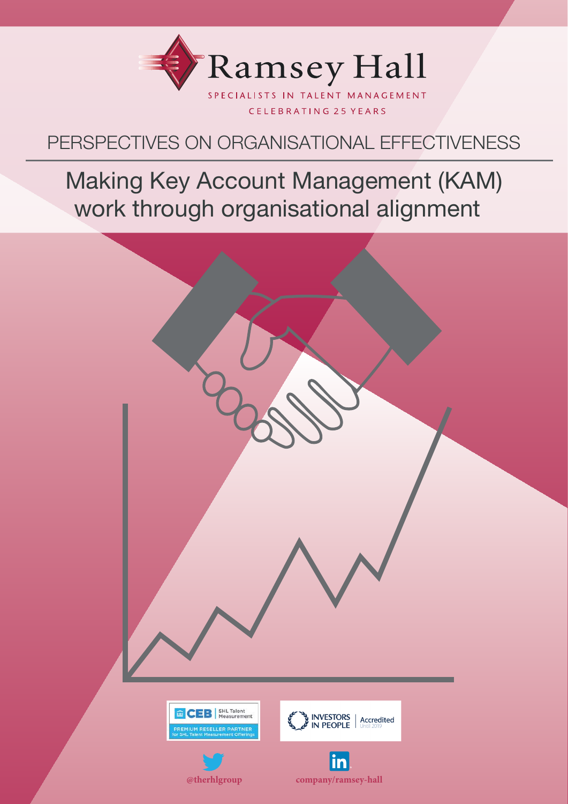

# PERSPECTIVES ON ORGANISATIONAL EFFECTIVENESS

# Making Key Account Management (KAM) work through organisational alignment

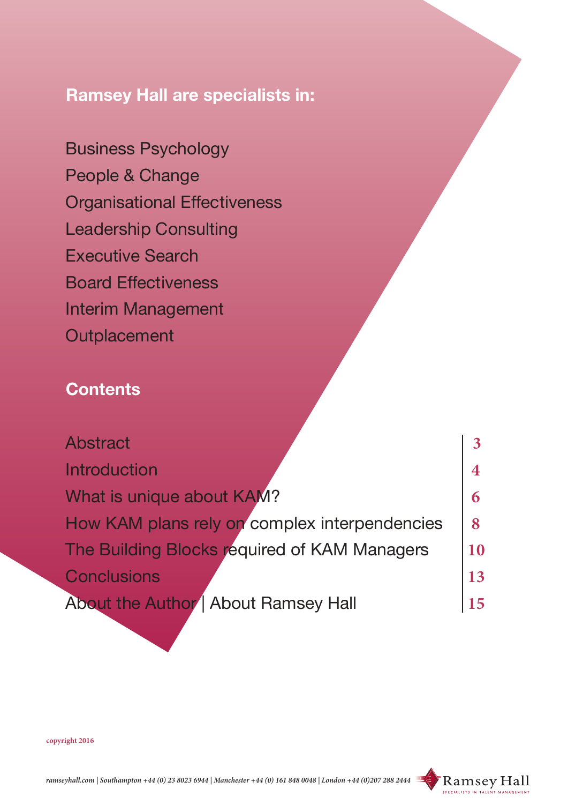# **Ramsey Hall are specialists in:**

Business Psychology People & Change Organisational Effectiveness Leadership Consulting Executive Search Board Effectiveness Interim Management **Outplacement** 

# **Contents**

| Abstract                                      |        |
|-----------------------------------------------|--------|
| Introduction                                  |        |
| What is unique about KAM?                     |        |
| How KAM plans rely on complex interpendencies | $\bf8$ |
| The Building Blocks required of KAM Managers  | 10     |
| <b>Conclusions</b>                            | 13     |
| About the Author   About Ramsey Hall          | 15     |

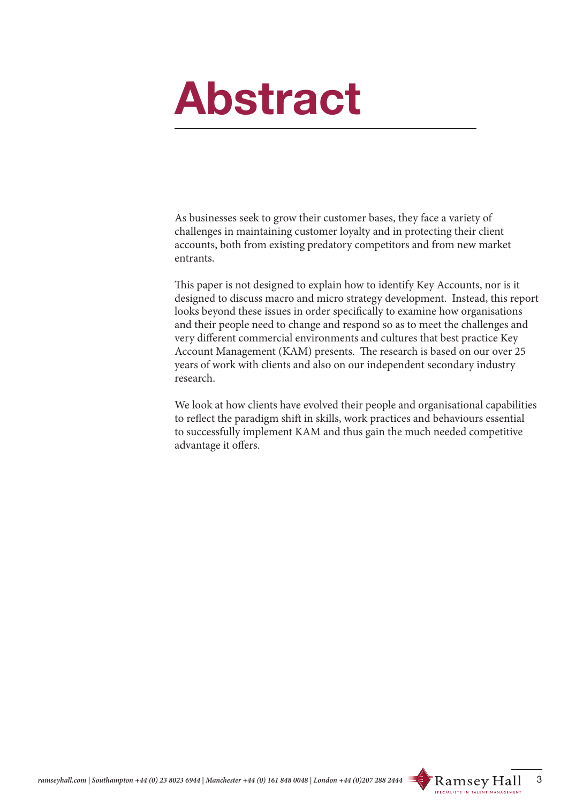# **Abstract**

As businesses seek to grow their customer bases, they face a variety of challenges in maintaining customer loyalty and in protecting their client accounts, both from existing predatory competitors and from new market entrants.

This paper is not designed to explain how to identify Key Accounts, nor is it designed to discuss macro and micro strategy development. Instead, this report looks beyond these issues in order specifically to examine how organisations and their people need to change and respond so as to meet the challenges and very different commercial environments and cultures that best practice Key Account Management (KAM) presents. The research is based on our over 25 years of work with clients and also on our independent secondary industry research.

We look at how clients have evolved their people and organisational capabilities to reflect the paradigm shift in skills, work practices and behaviours essential to successfully implement KAM and thus gain the much needed competitive advantage it offers.

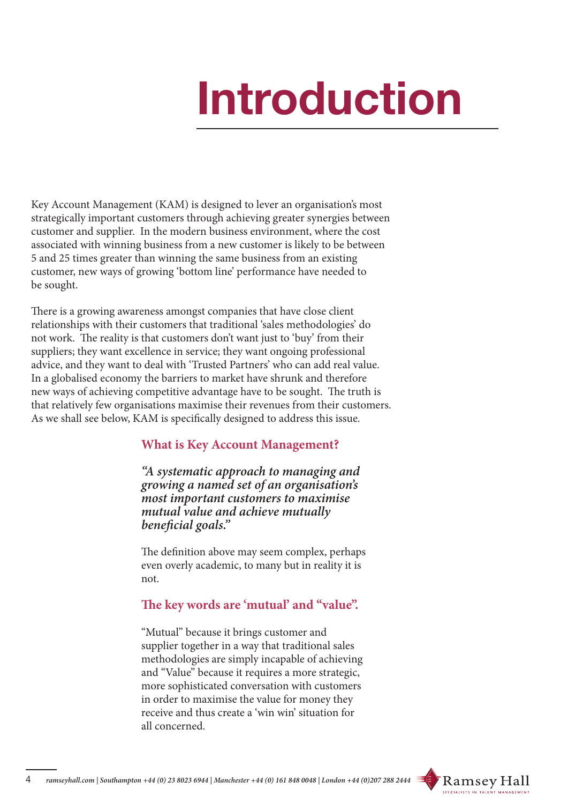# **Introduction**

Key Account Management (KAM) is designed to lever an organisation's most strategically important customers through achieving greater synergies between customer and supplier. In the modern business environment, where the cost associated with winning business from a new customer is likely to be between 5 and 25 times greater than winning the same business from an existing customer, new ways of growing 'bottom line' performance have needed to be sought.

There is a growing awareness amongst companies that have close client relationships with their customers that traditional 'sales methodologies' do not work. The reality is that customers don't want just to 'buy' from their suppliers; they want excellence in service; they want ongoing professional advice, and they want to deal with 'Trusted Partners' who can add real value. In a globalised economy the barriers to market have shrunk and therefore new ways of achieving competitive advantage have to be sought. The truth is that relatively few organisations maximise their revenues from their customers. As we shall see below, KAM is specifically designed to address this issue.

# **What is Key Account Management?**

*"A systematic approach to managing and growing a named set of an organisation's most important customers to maximise mutual value and achieve mutually beneficial goals."*

The definition above may seem complex, perhaps even overly academic, to many but in reality it is not.

# **The key words are 'mutual' and "value".**

"Mutual" because it brings customer and supplier together in a way that traditional sales methodologies are simply incapable of achieving and "Value" because it requires a more strategic, more sophisticated conversation with customers in order to maximise the value for money they receive and thus create a 'win win' situation for all concerned.

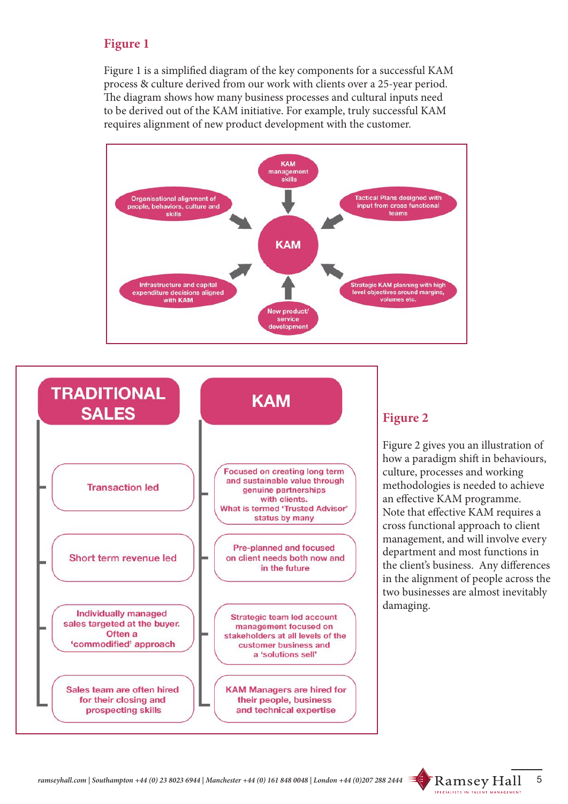# **Figure 1**

Figure 1 is a simplified diagram of the key components for a successful KAM process & culture derived from our work with clients over a 25-year period. The diagram shows how many business processes and cultural inputs need to be derived out of the KAM initiative. For example, truly successful KAM requires alignment of new product development with the customer.





# **Figure 2**

Figure 2 gives you an illustration of how a paradigm shift in behaviours, culture, processes and working methodologies is needed to achieve an effective KAM programme. Note that effective KAM requires a cross functional approach to client management, and will involve every department and most functions in the client's business. Any differences in the alignment of people across the two businesses are almost inevitably damaging.

**SPECIALISTS IN TALENT MANAGEMENT**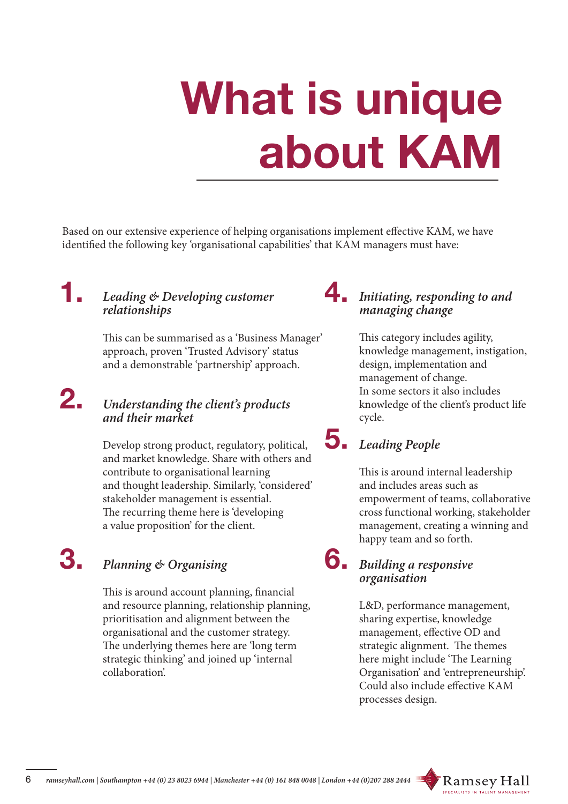# **What is unique about KAM**

Based on our extensive experience of helping organisations implement effective KAM, we have identified the following key 'organisational capabilities' that KAM managers must have:

#### **1. 4.** *Leading & Developing customer relationships*

This can be summarised as a 'Business Manager' approach, proven 'Trusted Advisory' status and a demonstrable 'partnership' approach.

#### **2.**  *Understanding the client's products and their market*

Develop strong product, regulatory, political, **5.** and market knowledge. Share with others and contribute to organisational learning and thought leadership. Similarly, 'considered' stakeholder management is essential. The recurring theme here is 'developing a value proposition' for the client.

#### **3.** *Planning & Organising*

This is around account planning, financial and resource planning, relationship planning, prioritisation and alignment between the organisational and the customer strategy. The underlying themes here are 'long term strategic thinking' and joined up 'internal collaboration'.

# *Initiating, responding to and managing change*

This category includes agility, knowledge management, instigation, design, implementation and management of change. In some sectors it also includes knowledge of the client's product life cycle.

# *Leading People*

This is around internal leadership and includes areas such as empowerment of teams, collaborative cross functional working, stakeholder management, creating a winning and happy team and so forth.

# g Building a responsive *organisation*

L&D, performance management, sharing expertise, knowledge management, effective OD and strategic alignment. The themes here might include 'The Learning Organisation' and 'entrepreneurship'. Could also include effective KAM processes design.

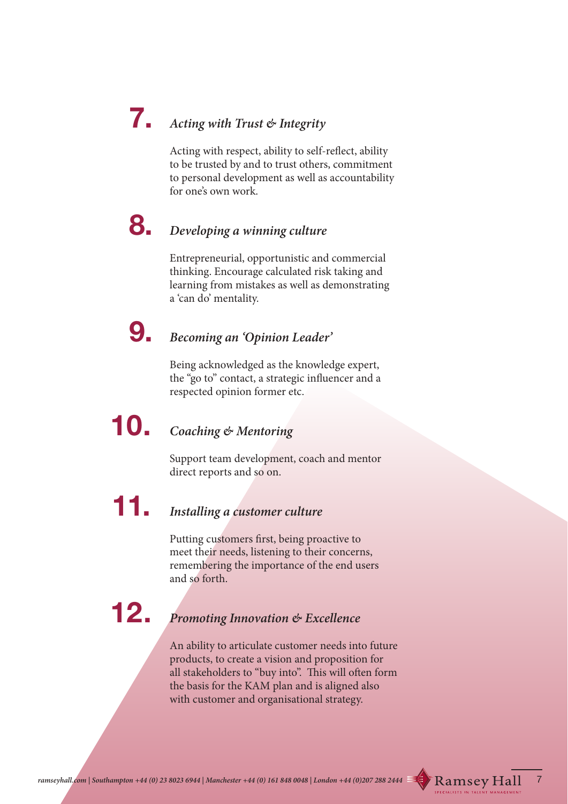# **7.** *Acting with Trust & Integrity*

Acting with respect, ability to self-reflect, ability to be trusted by and to trust others, commitment to personal development as well as accountability for one's own work.

# **8. 8.** *Developing a winning culture*

Entrepreneurial, opportunistic and commercial thinking. Encourage calculated risk taking and learning from mistakes as well as demonstrating a 'can do' mentality.

# **9.** *Becoming an 'Opinion Leader'*

Being acknowledged as the knowledge expert, the "go to" contact, a strategic influencer and a respected opinion former etc.

# **10.** *Coaching & Mentoring*

Support team development, coach and mentor direct reports and so on.

# **11.** *Installing a customer culture*

Putting customers first, being proactive to meet their needs, listening to their concerns, remembering the importance of the end users and so forth.

 **12.**

# *Promoting Innovation & Excellence*

An ability to articulate customer needs into future products, to create a vision and proposition for all stakeholders to "buy into". This will often form the basis for the KAM plan and is aligned also with customer and organisational strategy.

**SPECIALISTS IN TALE**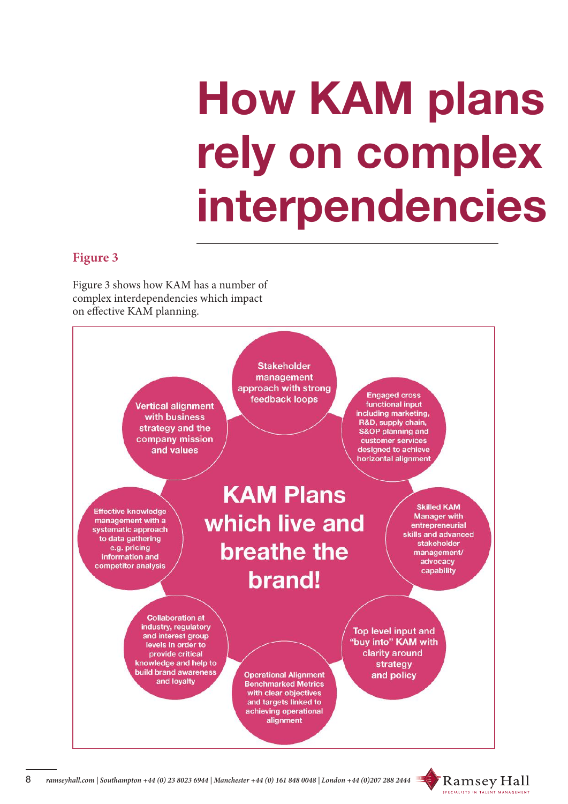# **How KAM plans rely on complex interpendencies**

### **Figure 3**

Figure 3 shows how KAM has a number of complex interdependencies which impact on effective KAM planning.



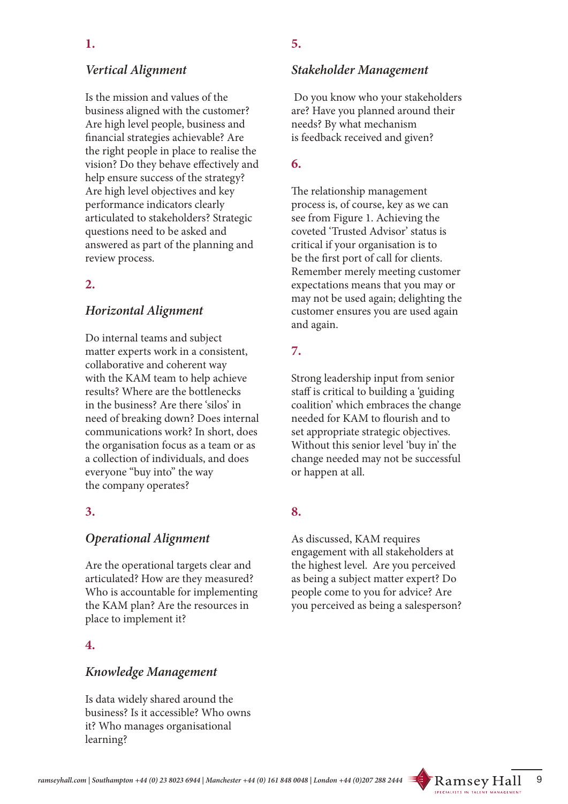# *Vertical Alignment*

Is the mission and values of the business aligned with the customer? Are high level people, business and financial strategies achievable? Are the right people in place to realise the vision? Do they behave effectively and help ensure success of the strategy? Are high level objectives and key performance indicators clearly articulated to stakeholders? Strategic questions need to be asked and answered as part of the planning and review process.

# **2.**

# *Horizontal Alignment*

Do internal teams and subject matter experts work in a consistent, collaborative and coherent way with the KAM team to help achieve results? Where are the bottlenecks in the business? Are there 'silos' in need of breaking down? Does internal communications work? In short, does the organisation focus as a team or as a collection of individuals, and does everyone "buy into" the way the company operates?

#### **3.**

# *Operational Alignment*

Are the operational targets clear and articulated? How are they measured? Who is accountable for implementing the KAM plan? Are the resources in place to implement it?

#### **4.**

#### *Knowledge Management*

Is data widely shared around the business? Is it accessible? Who owns it? Who manages organisational learning?

# **5.**

#### *Stakeholder Management*

 Do you know who your stakeholders are? Have you planned around their needs? By what mechanism is feedback received and given?

### **6.**

The relationship management process is, of course, key as we can see from Figure 1. Achieving the coveted 'Trusted Advisor' status is critical if your organisation is to be the first port of call for clients. Remember merely meeting customer expectations means that you may or may not be used again; delighting the customer ensures you are used again and again.

# **7.**

Strong leadership input from senior staff is critical to building a 'guiding coalition' which embraces the change needed for KAM to flourish and to set appropriate strategic objectives. Without this senior level 'buy in' the change needed may not be successful or happen at all.

# **8.**

As discussed, KAM requires engagement with all stakeholders at the highest level. Are you perceived as being a subject matter expert? Do people come to you for advice? Are you perceived as being a salesperson?

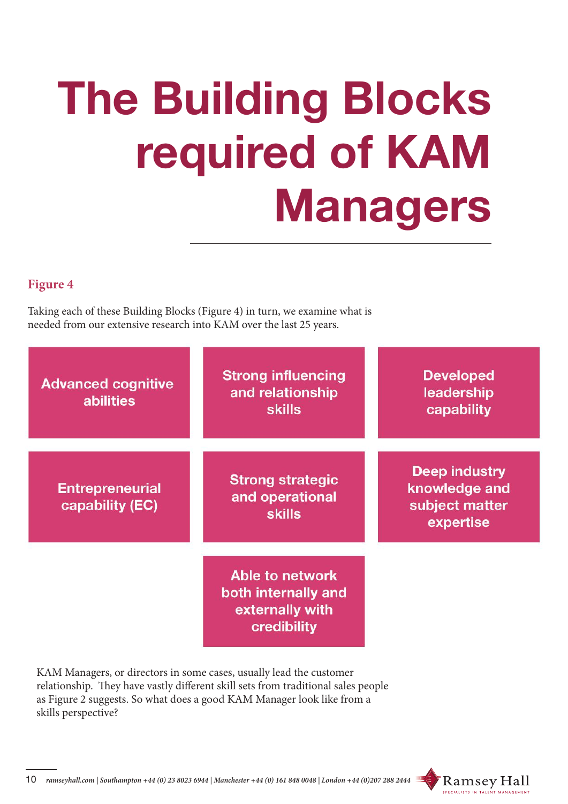# **The Building Blocks required of KAM Managers**

# **Figure 4**

Taking each of these Building Blocks (Figure 4) in turn, we examine what is needed from our extensive research into KAM over the last 25 years.

| <b>Advanced cognitive</b><br><b>abilities</b> | <b>Strong influencing</b><br>and relationship<br><b>skills</b>           | <b>Developed</b><br>leadership<br>capability                  |
|-----------------------------------------------|--------------------------------------------------------------------------|---------------------------------------------------------------|
| <b>Entrepreneurial</b><br>capability (EC)     | <b>Strong strategic</b><br>and operational<br><b>skills</b>              | Deep industry<br>knowledge and<br>subject matter<br>expertise |
|                                               | Able to network<br>both internally and<br>externally with<br>credibility |                                                               |

KAM Managers, or directors in some cases, usually lead the customer relationship. They have vastly different skill sets from traditional sales people as Figure 2 suggests. So what does a good KAM Manager look like from a skills perspective?

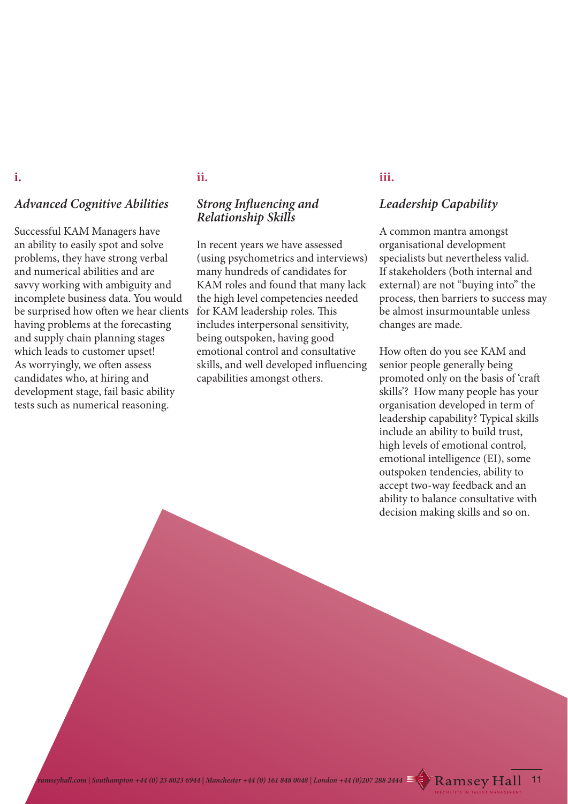#### **i.**

### *Advanced Cognitive Abilities*

Successful KAM Managers have an ability to easily spot and solve problems, they have strong verbal and numerical abilities and are savvy working with ambiguity and incomplete business data. You would be surprised how often we hear clients having problems at the forecasting and supply chain planning stages which leads to customer upset! As worryingly, we often assess candidates who, at hiring and development stage, fail basic ability tests such as numerical reasoning.

#### **ii.**

#### *Strong Influencing and Relationship Skills*

In recent years we have assessed (using psychometrics and interviews) many hundreds of candidates for KAM roles and found that many lack the high level competencies needed for KAM leadership roles. This includes interpersonal sensitivity, being outspoken, having good emotional control and consultative skills, and well developed influencing capabilities amongst others.

#### **iii.**

# *Leadership Capability*

A common mantra amongst organisational development specialists but nevertheless valid. If stakeholders (both internal and external) are not "buying into" the process, then barriers to success may be almost insurmountable unless changes are made.

How often do you see KAM and senior people generally being promoted only on the basis of 'craft skills'? How many people has your organisation developed in term of leadership capability? Typical skills include an ability to build trust, high levels of emotional control, emotional intelligence (EI), some outspoken tendencies, ability to accept two-way feedback and an ability to balance consultative with decision making skills and so on.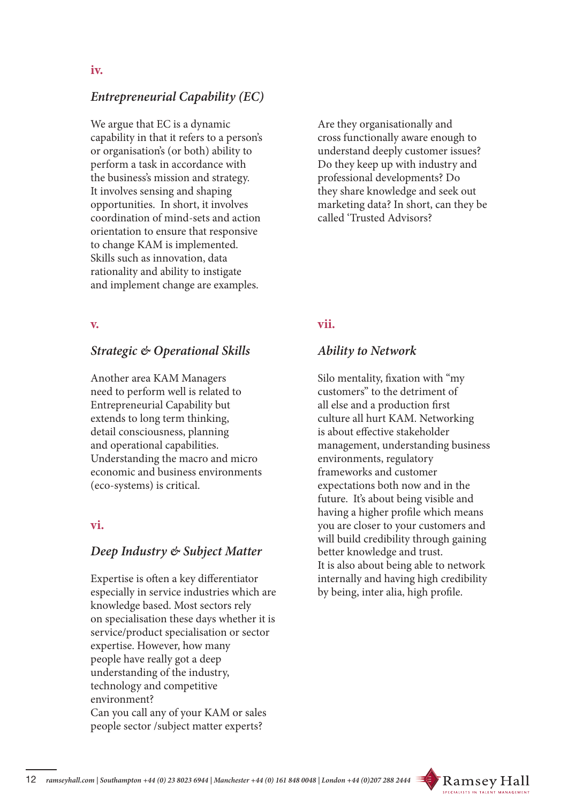# *Entrepreneurial Capability (EC)*

We argue that EC is a dynamic capability in that it refers to a person's or organisation's (or both) ability to perform a task in accordance with the business's mission and strategy. It involves sensing and shaping opportunities. In short, it involves coordination of mind-sets and action orientation to ensure that responsive to change KAM is implemented. Skills such as innovation, data rationality and ability to instigate and implement change are examples.

#### **v.**

#### *Strategic & Operational Skills*

Another area KAM Managers need to perform well is related to Entrepreneurial Capability but extends to long term thinking, detail consciousness, planning and operational capabilities. Understanding the macro and micro economic and business environments (eco-systems) is critical.

#### **vi.**

#### *Deep Industry & Subject Matter*

Expertise is often a key differentiator especially in service industries which are knowledge based. Most sectors rely on specialisation these days whether it is service/product specialisation or sector expertise. However, how many people have really got a deep understanding of the industry, technology and competitive environment? Can you call any of your KAM or sales people sector /subject matter experts?

Are they organisationally and cross functionally aware enough to understand deeply customer issues? Do they keep up with industry and professional developments? Do they share knowledge and seek out marketing data? In short, can they be called 'Trusted Advisors?

#### **vii.**

#### *Ability to Network*

Silo mentality, fixation with "my customers" to the detriment of all else and a production first culture all hurt KAM. Networking is about effective stakeholder management, understanding business environments, regulatory frameworks and customer expectations both now and in the future. It's about being visible and having a higher profile which means you are closer to your customers and will build credibility through gaining better knowledge and trust. It is also about being able to network internally and having high credibility by being, inter alia, high profile.

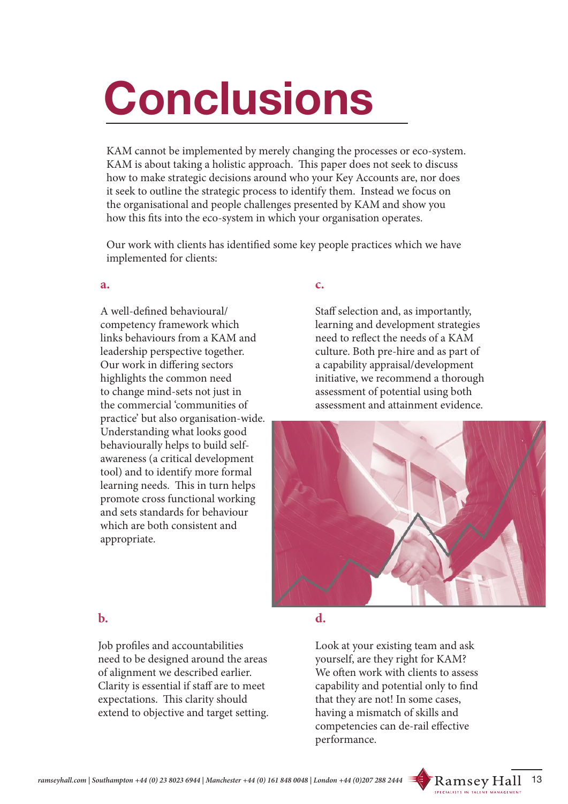# **Conclusions**

KAM cannot be implemented by merely changing the processes or eco-system. KAM is about taking a holistic approach. This paper does not seek to discuss how to make strategic decisions around who your Key Accounts are, nor does it seek to outline the strategic process to identify them. Instead we focus on the organisational and people challenges presented by KAM and show you how this fits into the eco-system in which your organisation operates.

Our work with clients has identified some key people practices which we have implemented for clients:

#### **a.**

A well-defined behavioural/ competency framework which links behaviours from a KAM and leadership perspective together. Our work in differing sectors highlights the common need to change mind-sets not just in the commercial 'communities of practice' but also organisation-wide. Understanding what looks good behaviourally helps to build selfawareness (a critical development tool) and to identify more formal learning needs. This in turn helps promote cross functional working and sets standards for behaviour which are both consistent and appropriate.

#### **c.**

Staff selection and, as importantly, learning and development strategies need to reflect the needs of a KAM culture. Both pre-hire and as part of a capability appraisal/development initiative, we recommend a thorough assessment of potential using both assessment and attainment evidence.



#### **b.**

Job profiles and accountabilities need to be designed around the areas of alignment we described earlier. Clarity is essential if staff are to meet expectations. This clarity should extend to objective and target setting.

#### **d.**

Look at your existing team and ask yourself, are they right for KAM? We often work with clients to assess capability and potential only to find that they are not! In some cases, having a mismatch of skills and competencies can de-rail effective performance.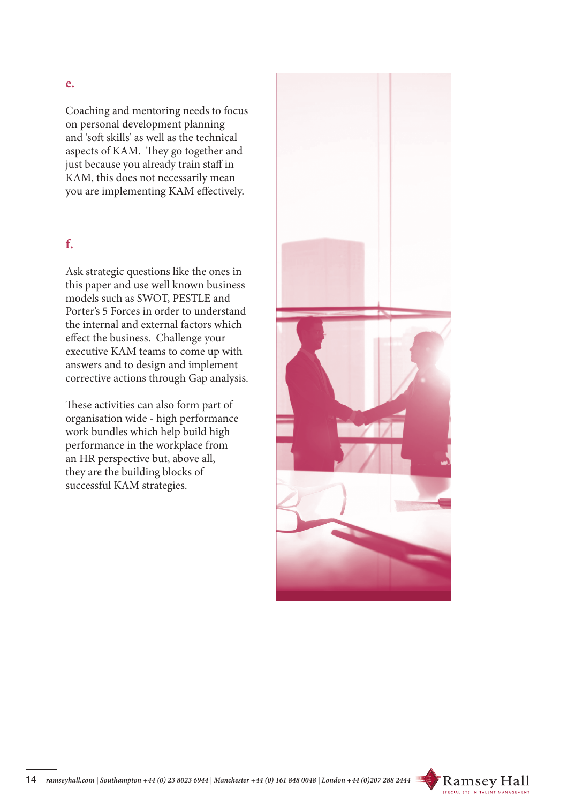#### **e.**

Coaching and mentoring needs to focus on personal development planning and 'soft skills' as well as the technical aspects of KAM. They go together and just because you already train staff in KAM, this does not necessarily mean you are implementing KAM effectively.

#### **f.**

Ask strategic questions like the ones in this paper and use well known business models such as SWOT, PESTLE and Porter's 5 Forces in order to understand the internal and external factors which effect the business. Challenge your executive KAM teams to come up with answers and to design and implement corrective actions through Gap analysis.

These activities can also form part of organisation wide - high performance work bundles which help build high performance in the workplace from an HR perspective but, above all, they are the building blocks of successful KAM strategies.



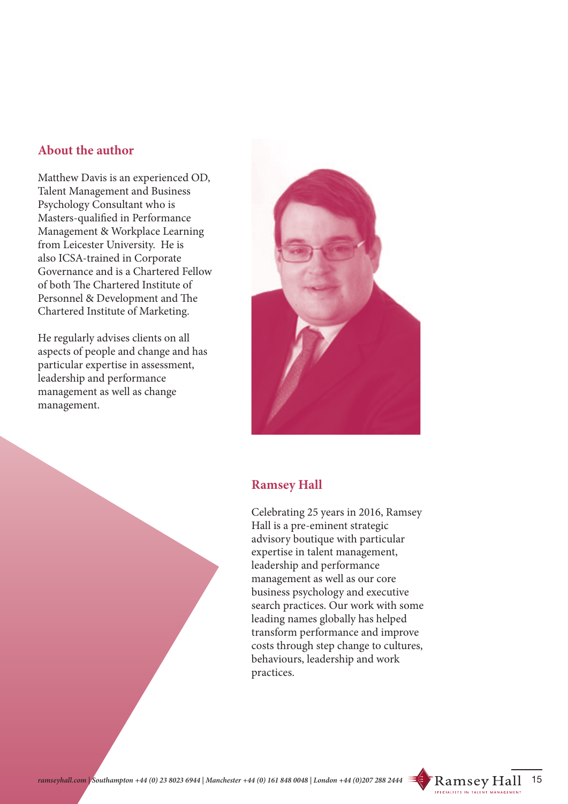### **About the author**

Matthew Davis is an experienced OD, Talent Management and Business Psychology Consultant who is Masters-qualified in Performance Management & Workplace Learning from Leicester University. He is also ICSA-trained in Corporate Governance and is a Chartered Fellow of both The Chartered Institute of Personnel & Development and The Chartered Institute of Marketing.

He regularly advises clients on all aspects of people and change and has particular expertise in assessment, leadership and performance management as well as change management.



#### **Ramsey Hall**

Celebrating 25 years in 2016, Ramsey Hall is a pre-eminent strategic advisory boutique with particular expertise in talent management, leadership and performance management as well as our core business psychology and executive search practices. Our work with some leading names globally has helped transform performance and improve costs through step change to cultures, behaviours, leadership and work practices.

15

Ramsey Hall

**SPECIALISTS IN TALE**